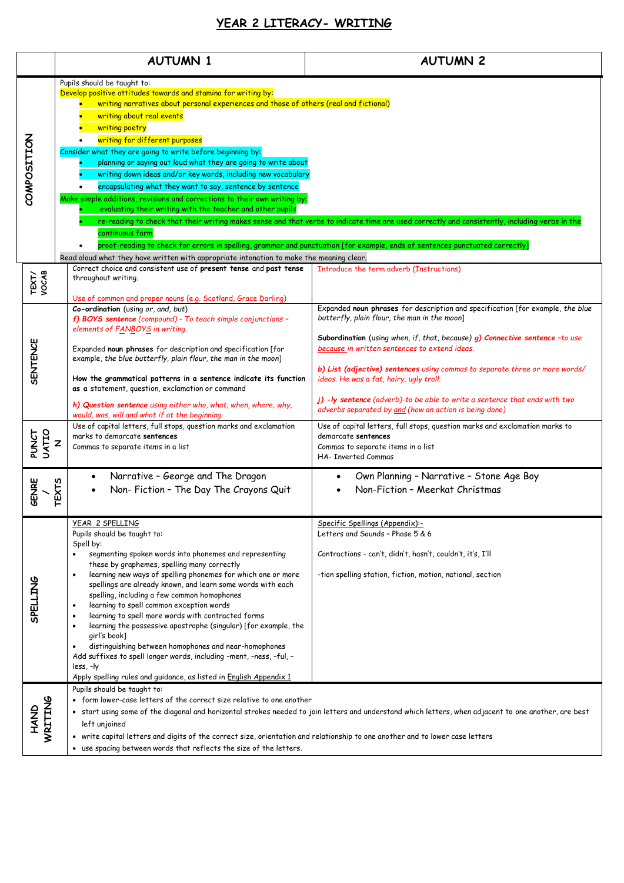## **YEAR 2 LITERACY- WRITING**

|                 | <b>AUTUMN 1</b>                                                                                                                                                                                                                                                                                                                                                                                                                                                                                                                                                                                                                                                                                                                                                                                                                          | <b>AUTUMN 2</b>                                                                                                                                                                                                                                                                                                                                                                                                                                                                                                                   |
|-----------------|------------------------------------------------------------------------------------------------------------------------------------------------------------------------------------------------------------------------------------------------------------------------------------------------------------------------------------------------------------------------------------------------------------------------------------------------------------------------------------------------------------------------------------------------------------------------------------------------------------------------------------------------------------------------------------------------------------------------------------------------------------------------------------------------------------------------------------------|-----------------------------------------------------------------------------------------------------------------------------------------------------------------------------------------------------------------------------------------------------------------------------------------------------------------------------------------------------------------------------------------------------------------------------------------------------------------------------------------------------------------------------------|
| COMPOSITION     | Pupils should be taught to:<br>Develop positive attitudes towards and stamina for writing by:<br>writing narratives about personal experiences and those of others (real and fictional)<br>writing about real events<br>writing poetry<br>writing for different purposes<br>Consider what they are going to write before beginning by:<br>planning or saying out loud what they are going to write about<br>writing down ideas and/or key words, including new vocabulary<br>encapsulating what they want to say, sentence by sentence<br>Make simple additions, revisions and corrections to their own writing by:<br>evaluating their writing with the teacher and other pupils<br>continuous form<br>Read aloud what they have written with appropriate intonation to make the meaning clear.                                         | re-reading to check that their writing makes sense and that verbs to indicate time are used correctly and consistently, including verbs in the<br>proof-reading to check for errors in spelling, grammar and punctuation [for example, ends of sentences punctuated correctly]                                                                                                                                                                                                                                                    |
| TEXT/<br>VOCAB  | Correct choice and consistent use of present tense and past tense<br>throughout writing.                                                                                                                                                                                                                                                                                                                                                                                                                                                                                                                                                                                                                                                                                                                                                 | Introduce the term adverb (Instructions)                                                                                                                                                                                                                                                                                                                                                                                                                                                                                          |
| <b>SENTENCE</b> | Use of common and proper nouns (e.g. Scotland, Grace Darling)<br>Co-ordination (using or, and, but)<br>f) BOYS sentence (compound) - To teach simple conjunctions -<br>elements of FANBOYS in writing.<br>Expanded noun phrases for description and specification [for<br>example, the blue butterfly, plain flour, the man in the moon]<br>How the grammatical patterns in a sentence indicate its function<br>as a statement, question, exclamation or command<br>h) Question sentence using either who, what, when, where, why,<br>would, was, will and what if at the beginning.                                                                                                                                                                                                                                                     | Expanded noun phrases for description and specification [for example, the blue<br>butterfly, plain flour, the man in the moon]<br>Subordination (using when, if, that, because) g) Connective sentence -to use<br>because in written sentences to extend ideas.<br>b) List (adjective) sentences using commas to separate three or more words/<br>ideas. He was a fat, hairy, ugly troll.<br>j) -ly sentence (adverb)-to be able to write a sentence that ends with two<br>adverbs separated by and (how an action is being done) |
| PUNCT<br>UATIO  | Use of capital letters, full stops, question marks and exclamation<br>marks to demarcate sentences<br>Z<br>Commas to separate items in a list                                                                                                                                                                                                                                                                                                                                                                                                                                                                                                                                                                                                                                                                                            | Use of capital letters, full stops, question marks and exclamation marks to<br>demarcate sentences<br>Commas to separate items in a list<br><b>HA- Inverted Commas</b>                                                                                                                                                                                                                                                                                                                                                            |
| GENRE           | Narrative - George and The Dragon<br>EXTS<br>Non- Fiction - The Day The Crayons Quit<br>$\bullet$                                                                                                                                                                                                                                                                                                                                                                                                                                                                                                                                                                                                                                                                                                                                        | Own Planning - Narrative - Stone Age Boy<br>Non-Fiction - Meerkat Christmas                                                                                                                                                                                                                                                                                                                                                                                                                                                       |
| SPELLING        | YEAR 2 SPELLING<br>Pupils should be taught to:<br>Spell by:<br>segmenting spoken words into phonemes and representing<br>$\bullet$<br>these by graphemes, spelling many correctly<br>learning new ways of spelling phonemes for which one or more<br>$\bullet$<br>spellings are already known, and learn some words with each<br>spelling, including a few common homophones<br>learning to spell common exception words<br>$\bullet$<br>learning to spell more words with contracted forms<br>$\bullet$<br>learning the possessive apostrophe (singular) [for example, the<br>$\bullet$<br>girl's book]<br>distinguishing between homophones and near-homophones<br>$\bullet$<br>Add suffixes to spell longer words, including -ment, -ness, -ful, -<br>less, -ly<br>Apply spelling rules and guidance, as listed in English Appendix 1 | Specific Spellings (Appendix):-<br>Letters and Sounds - Phase 5 & 6<br>Contractions - can't, didn't, hasn't, couldn't, it's, I'll<br>-tion spelling station, fiction, motion, national, section                                                                                                                                                                                                                                                                                                                                   |
| HAND<br>WRITING | Pupils should be taught to:<br>• form lower-case letters of the correct size relative to one another<br>• start using some of the diagonal and horizontal strokes needed to join letters and understand which letters, when adjacent to one another, are best<br>left unjoined<br>• write capital letters and digits of the correct size, orientation and relationship to one another and to lower case letters<br>• use spacing between words that reflects the size of the letters.                                                                                                                                                                                                                                                                                                                                                    |                                                                                                                                                                                                                                                                                                                                                                                                                                                                                                                                   |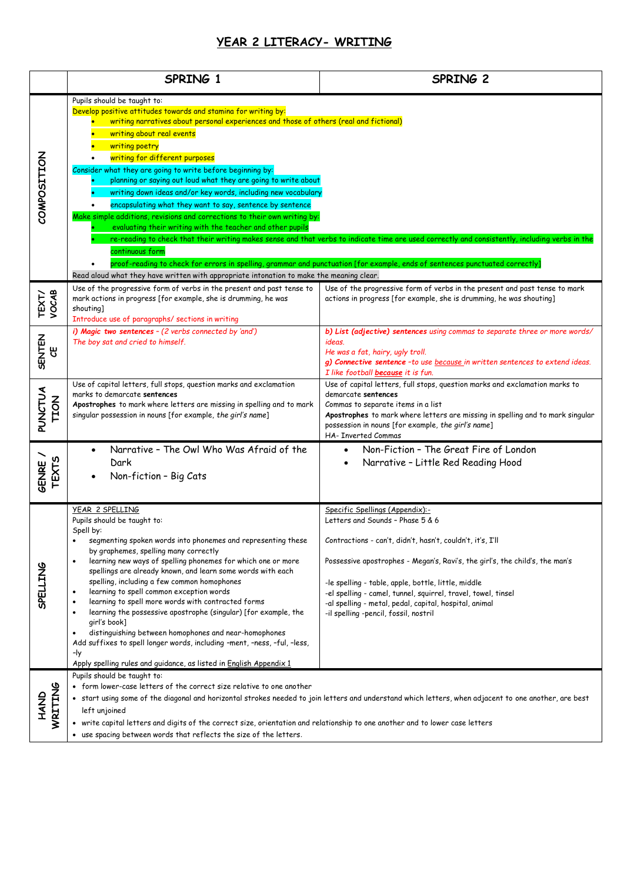## **YEAR 2 LITERACY- WRITING**

|                               | SPRING 1                                                                                                                                                                                                                                                                                                                                                                                                                                                                                                                                                                                                                                                                                                                                                                                                                   | SPRING 2                                                                                                                                                                                                                                                                                                                                                                                                                                     |
|-------------------------------|----------------------------------------------------------------------------------------------------------------------------------------------------------------------------------------------------------------------------------------------------------------------------------------------------------------------------------------------------------------------------------------------------------------------------------------------------------------------------------------------------------------------------------------------------------------------------------------------------------------------------------------------------------------------------------------------------------------------------------------------------------------------------------------------------------------------------|----------------------------------------------------------------------------------------------------------------------------------------------------------------------------------------------------------------------------------------------------------------------------------------------------------------------------------------------------------------------------------------------------------------------------------------------|
| COMPOSITION                   | Pupils should be taught to:<br>Develop positive attitudes towards and stamina for writing by:<br>writing narratives about personal experiences and those of others (real and fictional)<br>writing about real events<br>writing poetry<br>writing for different purposes<br>Consider what they are going to write before beginning by:<br>planning or saying out loud what they are going to write about<br>writing down ideas and/or key words, including new vocabulary<br>encapsulating what they want to say, sentence by sentence<br>Make simple additions, revisions and corrections to their own writing by:<br>evaluating their writing with the teacher and other pupils<br>continuous form<br>Read aloud what they have written with appropriate intonation to make the meaning clear.                           | re-reading to check that their writing makes sense and that verbs to indicate time are used correctly and consistently, including verbs in the<br>proof-reading to check for errors in spelling, grammar and punctuation [for example, ends of sentences punctuated correctly]                                                                                                                                                               |
| TEXT/<br>VOCAB                | Use of the progressive form of verbs in the present and past tense to<br>mark actions in progress [for example, she is drumming, he was<br>shouting]<br>Introduce use of paragraphs/ sections in writing                                                                                                                                                                                                                                                                                                                                                                                                                                                                                                                                                                                                                   | Use of the progressive form of verbs in the present and past tense to mark<br>actions in progress [for example, she is drumming, he was shouting]                                                                                                                                                                                                                                                                                            |
| <b>SENTEN</b><br>෪            | i) Magic two sentences - (2 verbs connected by 'and')<br>The boy sat and cried to himself.                                                                                                                                                                                                                                                                                                                                                                                                                                                                                                                                                                                                                                                                                                                                 | b) List (adjective) sentences using commas to separate three or more words/<br>ideas.<br>He was a fat, hairy, ugly troll.<br>g) Connective sentence - to use because in written sentences to extend ideas.<br>I like football <b>because</b> it is fun.                                                                                                                                                                                      |
| <b>PUNCTUA</b><br><b>TION</b> | Use of capital letters, full stops, question marks and exclamation<br>marks to demarcate sentences<br>Apostrophes to mark where letters are missing in spelling and to mark<br>singular possession in nouns [for example, the girl's name]                                                                                                                                                                                                                                                                                                                                                                                                                                                                                                                                                                                 | Use of capital letters, full stops, question marks and exclamation marks to<br>demarcate sentences<br>Commas to separate items in a list<br>Apostrophes to mark where letters are missing in spelling and to mark singular<br>possession in nouns [for example, the girl's name]<br>HA- Inverted Commas                                                                                                                                      |
| <b>TEXTS</b><br><b>GENRE</b>  | Narrative - The Owl Who Was Afraid of the<br>Dark<br>Non-fiction - Big Cats<br>$\bullet$                                                                                                                                                                                                                                                                                                                                                                                                                                                                                                                                                                                                                                                                                                                                   | Non-Fiction - The Great Fire of London<br>$\bullet$<br>Narrative - Little Red Reading Hood<br>$\bullet$                                                                                                                                                                                                                                                                                                                                      |
| <b>SPELLING</b>               | YEAR 2 SPELLING<br>Pupils should be taught to:<br>Spell by:<br>segmenting spoken words into phonemes and representing these<br>$\bullet$<br>by graphemes, spelling many correctly<br>learning new ways of spelling phonemes for which one or more<br>spellings are already known, and learn some words with each<br>spelling, including a few common homophones<br>learning to spell common exception words<br>$\bullet$<br>learning to spell more words with contracted forms<br>$\bullet$<br>learning the possessive apostrophe (singular) [for example, the<br>$\bullet$<br>girl's book]<br>distinguishing between homophones and near-homophones<br>$\bullet$<br>Add suffixes to spell longer words, including -ment, -ness, -ful, -less,<br>-ly<br>Apply spelling rules and guidance, as listed in English Appendix 1 | Specific Spellings (Appendix):-<br>Letters and Sounds - Phase 5 & 6<br>Contractions - can't, didn't, hasn't, couldn't, it's, I'll<br>Possessive apostrophes - Megan's, Ravi's, the girl's, the child's, the man's<br>-le spelling - table, apple, bottle, little, middle<br>-el spelling - camel, tunnel, squirrel, travel, towel, tinsel<br>-al spelling - metal, pedal, capital, hospital, animal<br>-il spelling -pencil, fossil, nostril |
| HAND<br>WRITING               | Pupils should be taught to:<br>• form lower-case letters of the correct size relative to one another<br>· start using some of the diagonal and horizontal strokes needed to join letters and understand which letters, when adjacent to one another, are best<br>left unjoined<br>• write capital letters and digits of the correct size, orientation and relationship to one another and to lower case letters<br>• use spacing between words that reflects the size of the letters.                                                                                                                                                                                                                                                                                                                                      |                                                                                                                                                                                                                                                                                                                                                                                                                                              |